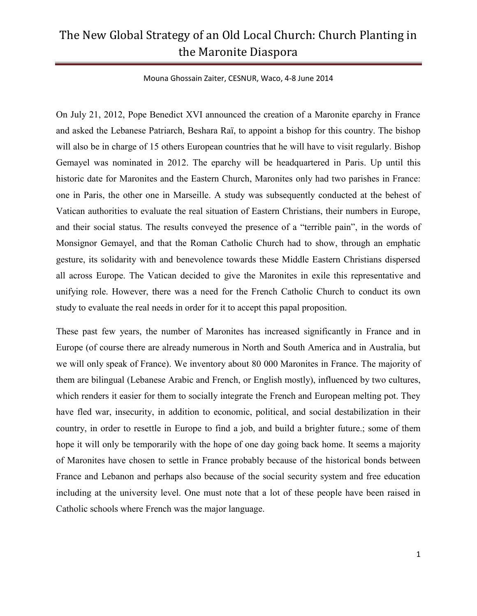Mouna Ghossain Zaiter, CESNUR, Waco, 4-8 June 2014

On July 21, 2012, Pope Benedict XVI announced the creation of a Maronite eparchy in France and asked the Lebanese Patriarch, Beshara Raï, to appoint a bishop for this country. The bishop will also be in charge of 15 others European countries that he will have to visit regularly. Bishop Gemayel was nominated in 2012. The eparchy will be headquartered in Paris. Up until this historic date for Maronites and the Eastern Church, Maronites only had two parishes in France: one in Paris, the other one in Marseille. A study was subsequently conducted at the behest of Vatican authorities to evaluate the real situation of Eastern Christians, their numbers in Europe, and their social status. The results conveyed the presence of a "terrible pain", in the words of Monsignor Gemayel, and that the Roman Catholic Church had to show, through an emphatic gesture, its solidarity with and benevolence towards these Middle Eastern Christians dispersed all across Europe. The Vatican decided to give the Maronites in exile this representative and unifying role. However, there was a need for the French Catholic Church to conduct its own study to evaluate the real needs in order for it to accept this papal proposition.

These past few years, the number of Maronites has increased significantly in France and in Europe (of course there are already numerous in North and South America and in Australia, but we will only speak of France). We inventory about 80 000 Maronites in France. The majority of them are bilingual (Lebanese Arabic and French, or English mostly), influenced by two cultures, which renders it easier for them to socially integrate the French and European melting pot. They have fled war, insecurity, in addition to economic, political, and social destabilization in their country, in order to resettle in Europe to find a job, and build a brighter future.; some of them hope it will only be temporarily with the hope of one day going back home. It seems a majority of Maronites have chosen to settle in France probably because of the historical bonds between France and Lebanon and perhaps also because of the social security system and free education including at the university level. One must note that a lot of these people have been raised in Catholic schools where French was the major language.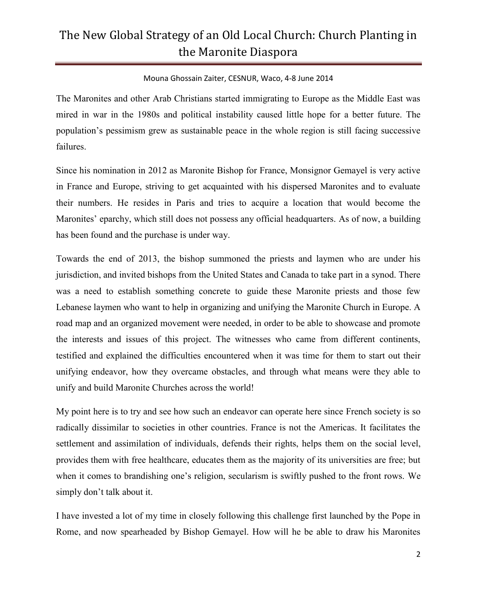### Mouna Ghossain Zaiter, CESNUR, Waco, 4-8 June 2014

The Maronites and other Arab Christians started immigrating to Europe as the Middle East was mired in war in the 1980s and political instability caused little hope for a better future. The population's pessimism grew as sustainable peace in the whole region is still facing successive failures.

Since his nomination in 2012 as Maronite Bishop for France, Monsignor Gemayel is very active in France and Europe, striving to get acquainted with his dispersed Maronites and to evaluate their numbers. He resides in Paris and tries to acquire a location that would become the Maronites' eparchy, which still does not possess any official headquarters. As of now, a building has been found and the purchase is under way.

Towards the end of 2013, the bishop summoned the priests and laymen who are under his jurisdiction, and invited bishops from the United States and Canada to take part in a synod. There was a need to establish something concrete to guide these Maronite priests and those few Lebanese laymen who want to help in organizing and unifying the Maronite Church in Europe. A road map and an organized movement were needed, in order to be able to showcase and promote the interests and issues of this project. The witnesses who came from different continents, testified and explained the difficulties encountered when it was time for them to start out their unifying endeavor, how they overcame obstacles, and through what means were they able to unify and build Maronite Churches across the world!

My point here is to try and see how such an endeavor can operate here since French society is so radically dissimilar to societies in other countries. France is not the Americas. It facilitates the settlement and assimilation of individuals, defends their rights, helps them on the social level, provides them with free healthcare, educates them as the majority of its universities are free; but when it comes to brandishing one's religion, secularism is swiftly pushed to the front rows. We simply don't talk about it.

I have invested a lot of my time in closely following this challenge first launched by the Pope in Rome, and now spearheaded by Bishop Gemayel. How will he be able to draw his Maronites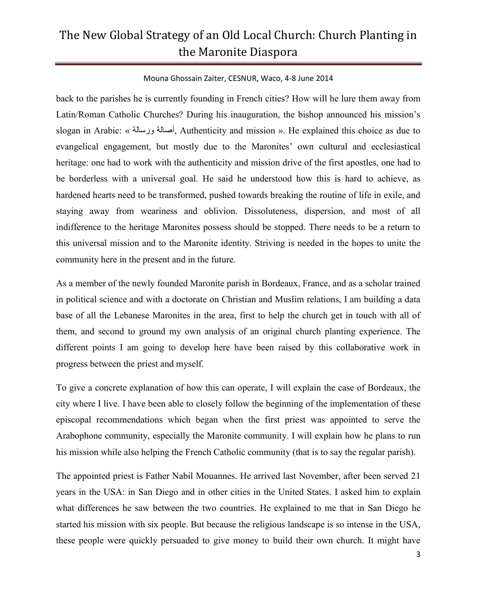#### Mouna Ghossain Zaiter, CESNUR, Waco, 4-8 June 2014

back to the parishes he is currently founding in French cities? How will he lure them away from Latin/Roman Catholic Churches? During his inauguration, the bishop announced his mission's slogan in Arabic: « ورسالة أصالة, Authenticity and mission ». He explained this choice as due to evangelical engagement, but mostly due to the Maronites' own cultural and ecclesiastical heritage: one had to work with the authenticity and mission drive of the first apostles, one had to be borderless with a universal goal. He said he understood how this is hard to achieve, as hardened hearts need to be transformed, pushed towards breaking the routine of life in exile, and staying away from weariness and oblivion. Dissoluteness, dispersion, and most of all indifference to the heritage Maronites possess should be stopped. There needs to be a return to this universal mission and to the Maronite identity. Striving is needed in the hopes to unite the community here in the present and in the future.

As a member of the newly founded Maronite parish in Bordeaux, France, and as a scholar trained in political science and with a doctorate on Christian and Muslim relations, I am building a data base of all the Lebanese Maronites in the area, first to help the church get in touch with all of them, and second to ground my own analysis of an original church planting experience. The different points I am going to develop here have been raised by this collaborative work in progress between the priest and myself.

To give a concrete explanation of how this can operate, I will explain the case of Bordeaux, the city where I live. I have been able to closely follow the beginning of the implementation of these episcopal recommendations which began when the first priest was appointed to serve the Arabophone community, especially the Maronite community. I will explain how he plans to run his mission while also helping the French Catholic community (that is to say the regular parish).

The appointed priest is Father Nabil Mouannes. He arrived last November, after been served 21 years in the USA: in San Diego and in other cities in the United States. I asked him to explain what differences he saw between the two countries. He explained to me that in San Diego he started his mission with six people. But because the religious landscape is so intense in the USA, these people were quickly persuaded to give money to build their own church. It might have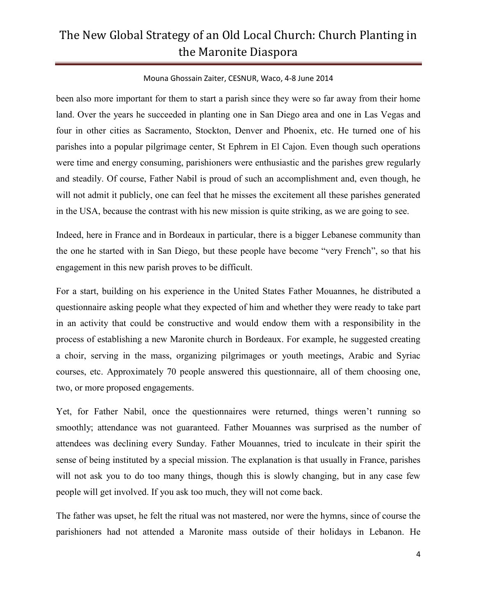### Mouna Ghossain Zaiter, CESNUR, Waco, 4-8 June 2014

been also more important for them to start a parish since they were so far away from their home land. Over the years he succeeded in planting one in San Diego area and one in Las Vegas and four in other cities as Sacramento, Stockton, Denver and Phoenix, etc. He turned one of his parishes into a popular pilgrimage center, St Ephrem in El Cajon. Even though such operations were time and energy consuming, parishioners were enthusiastic and the parishes grew regularly and steadily. Of course, Father Nabil is proud of such an accomplishment and, even though, he will not admit it publicly, one can feel that he misses the excitement all these parishes generated in the USA, because the contrast with his new mission is quite striking, as we are going to see.

Indeed, here in France and in Bordeaux in particular, there is a bigger Lebanese community than the one he started with in San Diego, but these people have become "very French", so that his engagement in this new parish proves to be difficult.

For a start, building on his experience in the United States Father Mouannes, he distributed a questionnaire asking people what they expected of him and whether they were ready to take part in an activity that could be constructive and would endow them with a responsibility in the process of establishing a new Maronite church in Bordeaux. For example, he suggested creating a choir, serving in the mass, organizing pilgrimages or youth meetings, Arabic and Syriac courses, etc. Approximately 70 people answered this questionnaire, all of them choosing one, two, or more proposed engagements.

Yet, for Father Nabil, once the questionnaires were returned, things weren't running so smoothly; attendance was not guaranteed. Father Mouannes was surprised as the number of attendees was declining every Sunday. Father Mouannes, tried to inculcate in their spirit the sense of being instituted by a special mission. The explanation is that usually in France, parishes will not ask you to do too many things, though this is slowly changing, but in any case few people will get involved. If you ask too much, they will not come back.

The father was upset, he felt the ritual was not mastered, nor were the hymns, since of course the parishioners had not attended a Maronite mass outside of their holidays in Lebanon. He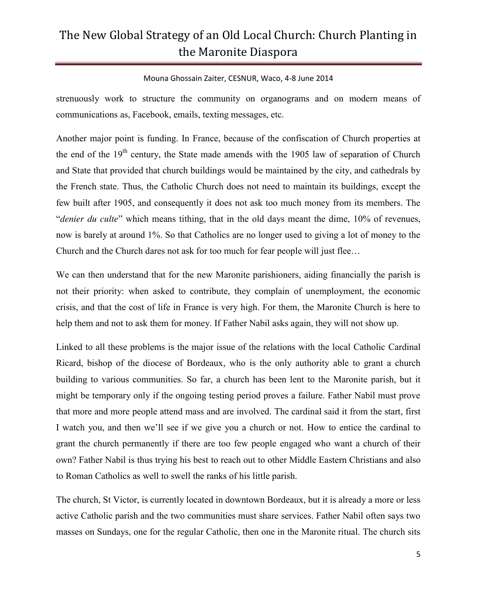#### Mouna Ghossain Zaiter, CESNUR, Waco, 4-8 June 2014

strenuously work to structure the community on organograms and on modern means of communications as, Facebook, emails, texting messages, etc.

Another major point is funding. In France, because of the confiscation of Church properties at the end of the 19<sup>th</sup> century, the State made amends with the 1905 law of separation of Church and State that provided that church buildings would be maintained by the city, and cathedrals by the French state. Thus, the Catholic Church does not need to maintain its buildings, except the few built after 1905, and consequently it does not ask too much money from its members. The "*denier du culte*" which means tithing, that in the old days meant the dime, 10% of revenues, now is barely at around 1%. So that Catholics are no longer used to giving a lot of money to the Church and the Church dares not ask for too much for fear people will just flee…

We can then understand that for the new Maronite parishioners, aiding financially the parish is not their priority: when asked to contribute, they complain of unemployment, the economic crisis, and that the cost of life in France is very high. For them, the Maronite Church is here to help them and not to ask them for money. If Father Nabil asks again, they will not show up.

Linked to all these problems is the major issue of the relations with the local Catholic Cardinal Ricard, bishop of the diocese of Bordeaux, who is the only authority able to grant a church building to various communities. So far, a church has been lent to the Maronite parish, but it might be temporary only if the ongoing testing period proves a failure. Father Nabil must prove that more and more people attend mass and are involved. The cardinal said it from the start, first I watch you, and then we'll see if we give you a church or not. How to entice the cardinal to grant the church permanently if there are too few people engaged who want a church of their own? Father Nabil is thus trying his best to reach out to other Middle Eastern Christians and also to Roman Catholics as well to swell the ranks of his little parish.

The church, St Victor, is currently located in downtown Bordeaux, but it is already a more or less active Catholic parish and the two communities must share services. Father Nabil often says two masses on Sundays, one for the regular Catholic, then one in the Maronite ritual. The church sits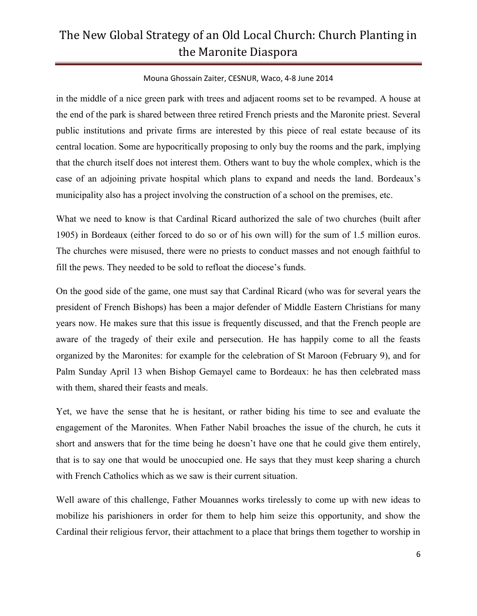### Mouna Ghossain Zaiter, CESNUR, Waco, 4-8 June 2014

in the middle of a nice green park with trees and adjacent rooms set to be revamped. A house at the end of the park is shared between three retired French priests and the Maronite priest. Several public institutions and private firms are interested by this piece of real estate because of its central location. Some are hypocritically proposing to only buy the rooms and the park, implying that the church itself does not interest them. Others want to buy the whole complex, which is the case of an adjoining private hospital which plans to expand and needs the land. Bordeaux's municipality also has a project involving the construction of a school on the premises, etc.

What we need to know is that Cardinal Ricard authorized the sale of two churches (built after 1905) in Bordeaux (either forced to do so or of his own will) for the sum of 1.5 million euros. The churches were misused, there were no priests to conduct masses and not enough faithful to fill the pews. They needed to be sold to refloat the diocese's funds.

On the good side of the game, one must say that Cardinal Ricard (who was for several years the president of French Bishops) has been a major defender of Middle Eastern Christians for many years now. He makes sure that this issue is frequently discussed, and that the French people are aware of the tragedy of their exile and persecution. He has happily come to all the feasts organized by the Maronites: for example for the celebration of St Maroon (February 9), and for Palm Sunday April 13 when Bishop Gemayel came to Bordeaux: he has then celebrated mass with them, shared their feasts and meals.

Yet, we have the sense that he is hesitant, or rather biding his time to see and evaluate the engagement of the Maronites. When Father Nabil broaches the issue of the church, he cuts it short and answers that for the time being he doesn't have one that he could give them entirely, that is to say one that would be unoccupied one. He says that they must keep sharing a church with French Catholics which as we saw is their current situation.

Well aware of this challenge, Father Mouannes works tirelessly to come up with new ideas to mobilize his parishioners in order for them to help him seize this opportunity, and show the Cardinal their religious fervor, their attachment to a place that brings them together to worship in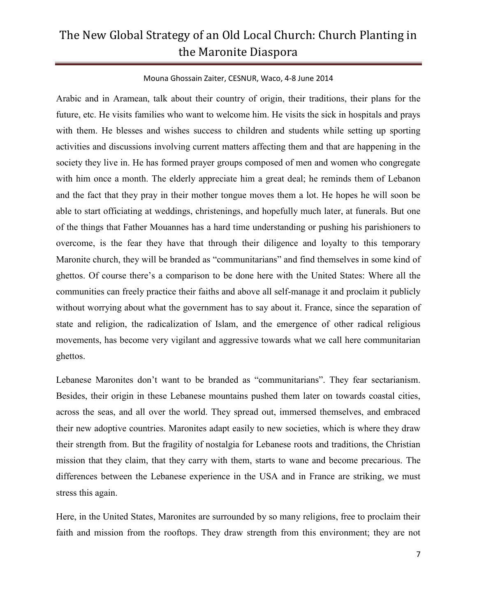#### Mouna Ghossain Zaiter, CESNUR, Waco, 4-8 June 2014

Arabic and in Aramean, talk about their country of origin, their traditions, their plans for the future, etc. He visits families who want to welcome him. He visits the sick in hospitals and prays with them. He blesses and wishes success to children and students while setting up sporting activities and discussions involving current matters affecting them and that are happening in the society they live in. He has formed prayer groups composed of men and women who congregate with him once a month. The elderly appreciate him a great deal; he reminds them of Lebanon and the fact that they pray in their mother tongue moves them a lot. He hopes he will soon be able to start officiating at weddings, christenings, and hopefully much later, at funerals. But one of the things that Father Mouannes has a hard time understanding or pushing his parishioners to overcome, is the fear they have that through their diligence and loyalty to this temporary Maronite church, they will be branded as "communitarians" and find themselves in some kind of ghettos. Of course there's a comparison to be done here with the United States: Where all the communities can freely practice their faiths and above all self-manage it and proclaim it publicly without worrying about what the government has to say about it. France, since the separation of state and religion, the radicalization of Islam, and the emergence of other radical religious movements, has become very vigilant and aggressive towards what we call here communitarian ghettos.

Lebanese Maronites don't want to be branded as "communitarians". They fear sectarianism. Besides, their origin in these Lebanese mountains pushed them later on towards coastal cities, across the seas, and all over the world. They spread out, immersed themselves, and embraced their new adoptive countries. Maronites adapt easily to new societies, which is where they draw their strength from. But the fragility of nostalgia for Lebanese roots and traditions, the Christian mission that they claim, that they carry with them, starts to wane and become precarious. The differences between the Lebanese experience in the USA and in France are striking, we must stress this again.

Here, in the United States, Maronites are surrounded by so many religions, free to proclaim their faith and mission from the rooftops. They draw strength from this environment; they are not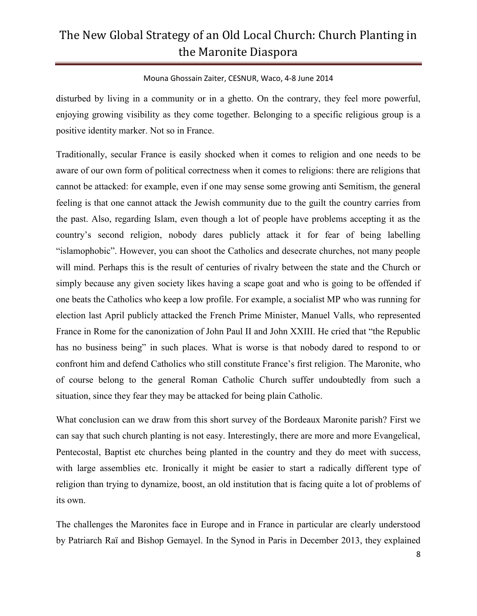### Mouna Ghossain Zaiter, CESNUR, Waco, 4-8 June 2014

disturbed by living in a community or in a ghetto. On the contrary, they feel more powerful, enjoying growing visibility as they come together. Belonging to a specific religious group is a positive identity marker. Not so in France.

Traditionally, secular France is easily shocked when it comes to religion and one needs to be aware of our own form of political correctness when it comes to religions: there are religions that cannot be attacked: for example, even if one may sense some growing anti Semitism, the general feeling is that one cannot attack the Jewish community due to the guilt the country carries from the past. Also, regarding Islam, even though a lot of people have problems accepting it as the country's second religion, nobody dares publicly attack it for fear of being labelling "islamophobic". However, you can shoot the Catholics and desecrate churches, not many people will mind. Perhaps this is the result of centuries of rivalry between the state and the Church or simply because any given society likes having a scape goat and who is going to be offended if one beats the Catholics who keep a low profile. For example, a socialist MP who was running for election last April publicly attacked the French Prime Minister, Manuel Valls, who represented France in Rome for the canonization of John Paul II and John XXIII. He cried that "the Republic has no business being" in such places. What is worse is that nobody dared to respond to or confront him and defend Catholics who still constitute France's first religion. The Maronite, who of course belong to the general Roman Catholic Church suffer undoubtedly from such a situation, since they fear they may be attacked for being plain Catholic.

What conclusion can we draw from this short survey of the Bordeaux Maronite parish? First we can say that such church planting is not easy. Interestingly, there are more and more Evangelical, Pentecostal, Baptist etc churches being planted in the country and they do meet with success, with large assemblies etc. Ironically it might be easier to start a radically different type of religion than trying to dynamize, boost, an old institution that is facing quite a lot of problems of its own.

The challenges the Maronites face in Europe and in France in particular are clearly understood by Patriarch Raï and Bishop Gemayel. In the Synod in Paris in December 2013, they explained